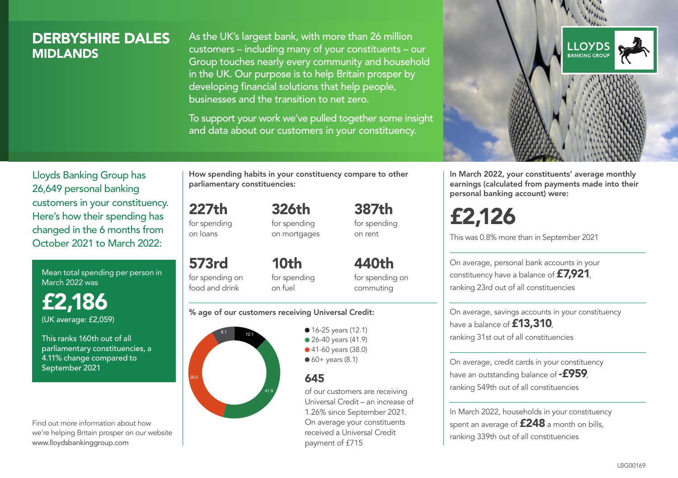# DERBYSHIRE DALES **MIDI ANDS**

As the UK's largest bank, with more than 26 million customers – including many of your constituents – our Group touches nearly every community and household in the UK. Our purpose is to help Britain prosper by developing financial solutions that help people, businesses and the transition to net zero.

To support your work we've pulled together some insight and data about our customers in your constituency.



In March 2022, your constituents' average monthly earnings (calculated from payments made into their personal banking account) were:

# £2,126

This was 0.8% more than in September 2021

On average, personal bank accounts in your constituency have a balance of £7,921, ranking 23rd out of all constituencies

On average, savings accounts in your constituency have a balance of **£13,310** ranking 31st out of all constituencies

On average, credit cards in your constituency have an outstanding balance of **-£959** ranking 549th out of all constituencies

In March 2022, households in your constituency spent an average of **£248** a month on bills, ranking 339th out of all constituencies

Lloyds Banking Group has 26,649 personal banking customers in your constituency. Here's how their spending has changed in the 6 months from October 2021 to March 2022:

Mean total spending per person in March 2022 was

£2,186 (UK average: £2,059)

This ranks 160th out of all parliamentary constituencies, a 4.11% change compared to September 2021

Find out more information about how we're helping Britain prosper on our website www.lloydsbankinggroup.com

How spending habits in your constituency compare to other parliamentary constituencies:

227th for spending 326th

on loans

573rd

for spending on mortgages

for spending on food and drink 10th for spending on fuel

440th for spending on commuting

387th for spending on rent

#### % age of our customers receiving Universal Credit:



• 16-25 years (12.1) • 26-40 years (41.9) ● 41-60 years (38.0)  $60+$  years  $(8.1)$ 

# 645

of our customers are receiving Universal Credit – an increase of 1.26% since September 2021. On average your constituents received a Universal Credit payment of £715